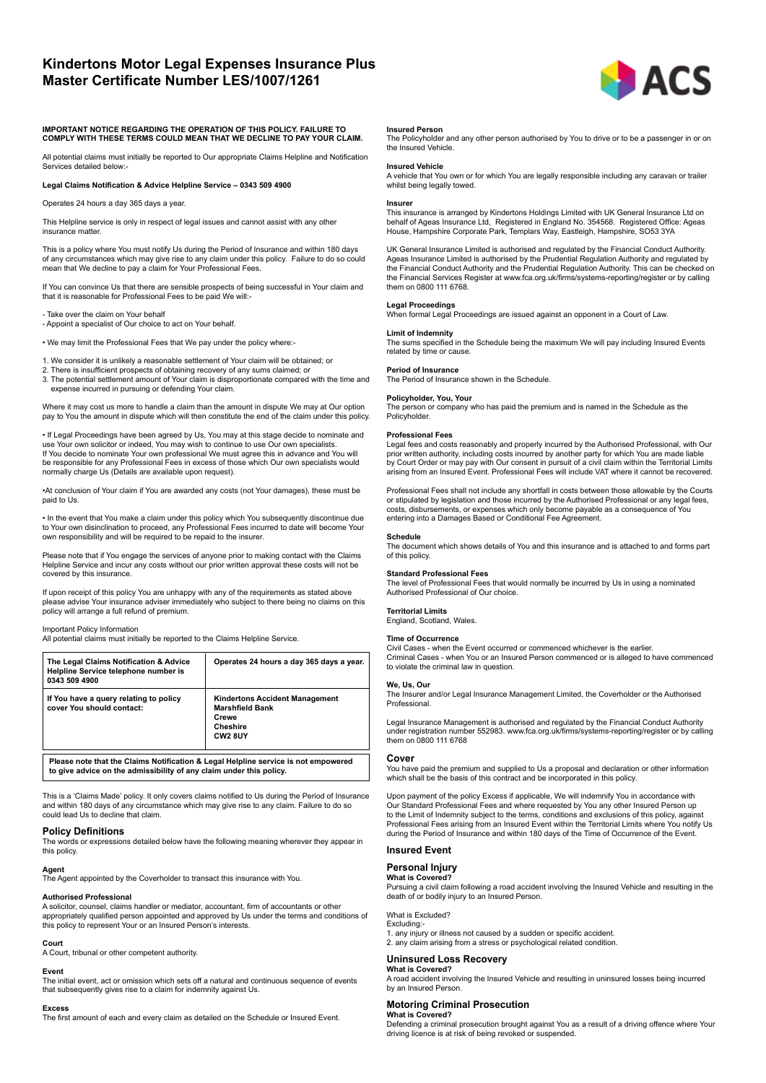# **Kindertons Motor Legal Expenses Insurance Plus Master Certificate Number LES/1007/1261**



#### **IMPORTANT NOTICE REGARDING THE OPERATION OF THIS POLICY. FAILURE TO COMPLY WITH THESE TERMS COULD MEAN THAT WE DECLINE TO PAY YOUR CLAIM.**

All potential claims must initially be reported to Our appropriate Claims Helpline and Notification Services detailed below:-

### **Legal Claims Notification & Advice Helpline Service – 0343 509 4900**

Operates 24 hours a day 365 days a year.

This Helpline service is only in respect of legal issues and cannot assist with any other insurance matter.

This is a policy where You must notify Us during the Period of Insurance and within 180 days of any circumstances which may give rise to any claim under this policy. Failure to do so could mean that We decline to pay a claim for Your Professional Fees.

If You can convince Us that there are sensible prospects of being successful in Your claim and that it is reasonable for Professional Fees to be paid We will:-

- Take over the claim on Your behalf

- Appoint a specialist of Our choice to act on Your behalf.

• We may limit the Professional Fees that We pay under the policy where:-

- 1. We consider it is unlikely a reasonable settlement of Your claim will be obtained; or
- 

2. There is insufficient prospects of obtaining recovery of any sums claimed; or 3. The potential settlement amount of Your claim is disproportionate compared with the time and expense incurred in pursuing or defending Your claim.

Where it may cost us more to handle a claim than the amount in dispute We may at Our option pay to You the amount in dispute which will then constitute the end of the claim under this policy.

• If Legal Proceedings have been agreed by Us, You may at this stage decide to nominate and use Your own solicitor or indeed, You may wish to continue to use Our own specialists. If You decide to nominate Your own professional We must agree this in advance and You will be responsible for any Professional Fees in excess of those which Our own specialists would normally charge Us (Details are available upon request).

•At conclusion of Your claim if You are awarded any costs (not Your damages), these must be paid to Us.

• In the event that You make a claim under this policy which You subsequently discontinue due to Your own disinclination to proceed, any Professional Fees incurred to date will become Your own responsibility and will be required to be repaid to the insurer.

Please note that if You engage the services of anyone prior to making contact with the Claims Helpline Service and incur any costs without our prior written approval these costs will not be covered by this insurance.

If upon receipt of this policy You are unhappy with any of the requirements as stated above please advise Your insurance adviser immediately who subject to there being no claims on this policy will arrange a full refund of premium.

#### Important Policy Information

All potential claims must initially be reported to the Claims Helpline Service.

| The Legal Claims Notification & Advice<br>Helpline Service telephone number is<br>0343 509 4900 | Operates 24 hours a day 365 days a year.                                                                    |
|-------------------------------------------------------------------------------------------------|-------------------------------------------------------------------------------------------------------------|
| If You have a query relating to policy<br>cover You should contact:                             | <b>Kindertons Accident Management</b><br><b>Marshfield Bank</b><br>Crewe<br>Cheshire<br>CW <sub>2</sub> 8UY |
| Please note that the Claims Notification & Legal Helpline service is not empowered              |                                                                                                             |

**Please note that the Claims Notification & Legal Helpline service is not empowered to give advice on the admissibility of any claim under this policy.**

This is a 'Claims Made' policy. It only covers claims notified to Us during the Period of Insurance and within 180 days of any circumstance which may give rise to any claim. Failure to do so could lead Us to decline that claim.

# **Policy Definitions**

The words or expressions detailed below have the following meaning wherever they appear in this policy.

#### **Agent**

The Agent appointed by the Coverholder to transact this insurance with You.

# **Authorised Professional**

A solicitor, counsel, claims handler or mediator, accountant, firm of accountants or other appropriately qualified person appointed and approved by Us under the terms and conditions of this policy to represent Your or an Insured Person's interests.

### **Court**

A Court, tribunal or other competent authority.

#### **Event**

The initial event, act or omission which sets off a natural and continuous sequence of events that subsequently gives rise to a claim for indemnity against Us.

#### **Excess**

The first amount of each and every claim as detailed on the Schedule or Insured Event.

#### **Insured Person**

The Policyholder and any other person authorised by You to drive or to be a passenger in or on the Insured Vehicle.

#### **Insured Vehicle**

A vehicle that You own or for which You are legally responsible including any caravan or trailer whilst being legally towed.

#### **Insurer**

This insurance is arranged by Kindertons Holdings Limited with UK General Insurance Ltd on<br>behalf of Ageas Insurance Ltd, Registered in England No. 354568. Registered Office: Ageas<br>House, Hampshire Corporate Park, Templa

UK General Insurance Limited is authorised and regulated by the Financial Conduct Authority. Ageas Insurance Limited is authorised by the Prudential Regulation Authority and regulated by the Financial Conduct Authority and the Prudential Regulation Authority. This can be checked on the Financial Services Register at www.fca.org.uk/firms/systems-reporting/register or by calling them on 0800 111 6768.

**Legal Proceedings** When formal Legal Proceedings are issued against an opponent in a Court of Law.

#### **Limit of Indemnity**

The sums specified in the Schedule being the maximum We will pay including Insured Events related by time or cause.

# **Period of Insurance**

The Period of Insurance shown in the Schedule.

#### **Policyholder, You, Your**

The person or company who has paid the premium and is named in the Schedule as the Policyholder.

#### **Professional Fees**

Legal fees and costs reasonably and properly incurred by the Authorised Professional, with Our prior written authority, including costs incurred by another party for which You are made liable by Court Order or may pay with Our consent in pursuit of a civil claim within the Territorial Limits arising from an Insured Event. Professional Fees will include VAT where it cannot be recovered.

Professional Fees shall not include any shortfall in costs between those allowable by the Courts or stipulated by legislation and those incurred by the Authorised Professional or any legal fees,<br>costs, disbursements, or expenses which only become payable as a consequence of You<br>entering into a Damages Based or Conditi

**Schedule** The document which shows details of You and this insurance and is attached to and forms part of this policy.

#### **Standard Professional Fees**

The level of Professional Fees that would normally be incurred by Us in using a nominated Authorised Professional of Our choice.

# **Territorial Limits**

England, Scotland, Wales.

# **Time of Occurrence**

Civil Cases - when the Event occurred or commenced whichever is the earlier. Criminal Cases - when You or an Insured Person commenced or is alleged to have commenced to violate the criminal law in question.

# **We, Us, Our**

The Insurer and/or Legal Insurance Management Limited, the Coverholder or the Authorised Professional.

Legal Insurance Management is authorised and regulated by the Financial Conduct Authority under registration number 552983. www.fca.org.uk/firms/systems-reporting/register or by calling them on 0800 111 6768

#### **Cover**

You have paid the premium and supplied to Us a proposal and declaration or other information which shall be the basis of this contract and be incorporated in this policy.

Upon payment of the policy Excess if applicable, We will indemnify You in accordance with Our Standard Professional Fees and where requested by You any other Insured Person up to the Limit of Indemnity subject to the terms, conditions and exclusions of this policy, against Professional Fees arising from an Insured Event within the Territorial Limits where You notify Us during the Period of Insurance and within 180 days of the Time of Occurrence of the Event.

### **Insured Event**

#### **Personal Injury What is Covered?**

Pursuing a civil claim following a road accident involving the Insured Vehicle and resulting in the death of or bodily injury to an Insured Person.

#### What is Excluded? Excluding:-

1. any injury or illness not caused by a sudden or specific accident. 2. any claim arising from a stress or psychological related condition.

#### **Uninsured Loss Recovery**

**What is Covered?** A road accident involving the Insured Vehicle and resulting in uninsured losses being incurred by an Insured Person.

# **Motoring Criminal Prosecution What is Covered?**

Defending a criminal prosecution brought against You as a result of a driving offence where Your driving licence is at risk of being revoked or suspended.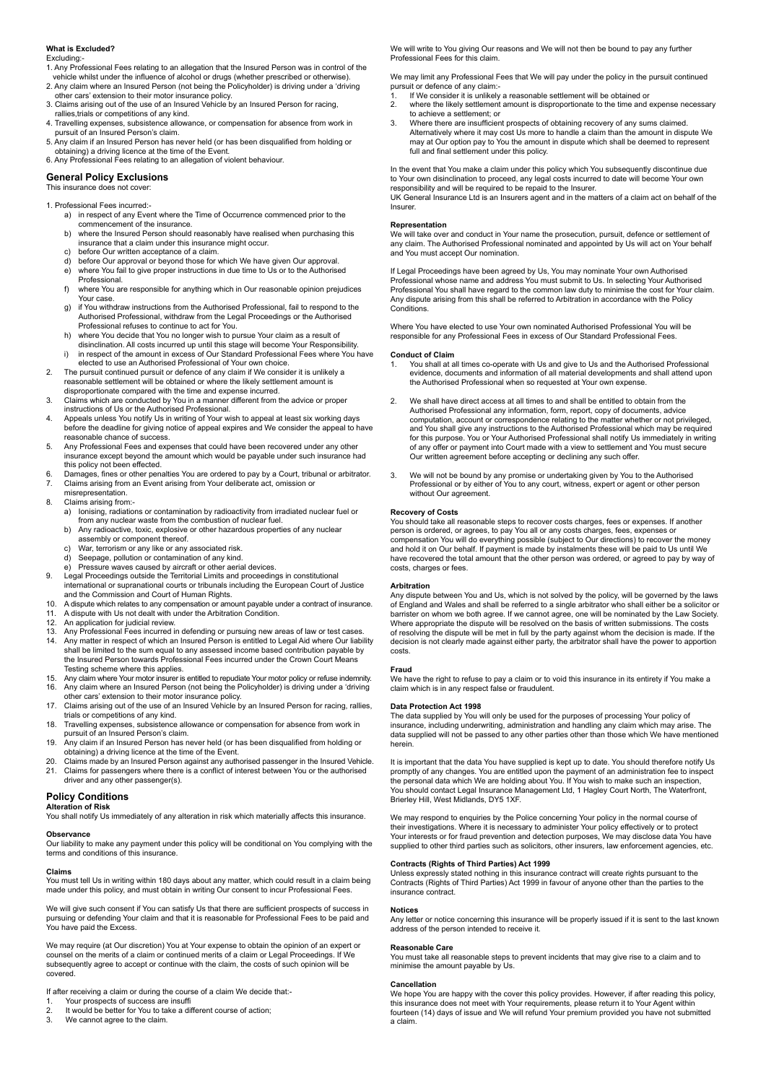# **What is Excluded?**

#### Excluding:

- 1. Any Professional Fees relating to an allegation that the Insured Person was in control of the
- vehicle whilst under the influence of alcohol or drugs (whether prescribed or otherwise). 2. Any claim where an Insured Person (not being the Policyholder) is driving under a 'driving other cars' extension to their motor insurance policy. 3. Claims arising out of the use of an Insured Vehicle by an Insured Person for racing,
- rallies,trials or competitions of any kind.
- 4. Travelling expenses, subsistence allowance, or compensation for absence from work in pursuit of an Insured Person's claim.
- 5. Any claim if an Insured Person has never held (or has been disqualified from holding or obtaining) a driving licence at the time of the Event.
- 6. Any Professional Fees relating to an allegation of violent behaviour.

# **General Policy Exclusions**

#### This insurance do

1. Professional Fees incurred:-

- a) in respect of any Event where the Time of Occurrence commenced prior to the commencement of the insurance.<br>b) where the Insured Person should
- where the Insured Person should reasonably have realised when purchasing this insurance that a claim under this insurance might occur.<br>
c) before Our written acceptance of a claim.
- before Our written acceptance of a claim.
- d) before Our approval or beyond those for which We have given Our approval. e) where You fail to give proper instructions in due time to Us or to the Authorised
- Professional.<br>f) where You are f) where You are responsible for anything which in Our reasonable opinion prejudices Your case.
- g) if You withdraw instructions from the Authorised Professional, fail to respond to the Authorised Professional, withdraw from the Legal Proceedings or the Authorised
- Professional refuses to continue to act for You. h) where You decide that You no longer wish to pursue Your claim as a result of disinclination. All costs incurred up until this stage will become Your Responsibility.<br>i) in respect of the amount in excess of Our Standard Professional Fees where You
- in respect of the amount in excess of Our Standard Professional Fees where You have elected to use an Authorised Professional of Your own choice<br>2. The pursuit continued pursuit or defence of any claim if We consider
- 2. The pursuit continued pursuit or defence of any claim if We consider it is unlikely a reasonable settlement will be obtained or where the likely settlement amount is disproportionate compared with the time and expense incurred.
- 3. Claims which are conducted by You in a manner different from the advice or proper instructions of Us or the Authorised Professional.
- 4. Appeals unless You notify Us in writing of Your wish to appeal at least six working days before the deadline for giving notice of appeal expires and We consider the appeal to have reasonable chance of success.
- 5. Any Professional Fees and expenses that could have been recovered under any other insurance except beyond the amount which would be payable under such insurance had this policy not been effected.
- 6. Damages, fines or other penalties You are ordered to pay by a Court, tribunal or arbitrator. 7. Claims arising from an Event arising from Your deliberate act, omission or
- misrepresentation. 8. Claims arising from:
	- a) Ionising, radiations or contamination by radioactivity from irradiated nuclear fuel or from any nuclear waste from the combustion of nuclear fuel.<br>b) Any radioactive, toxic, explosive or other hazardous properti
		- Any radioactive, toxic, explosive or other hazardous properties of any nuclear assembly or component thereof.
		- c) War, terrorism or any like or any associated risk.<br>d) Seepage, pollution or contamination of any kind.
		- Seepage, pollution or contamination of any kind.
	- e) Pressure waves caused by aircraft or other aerial devices.
- 9. Legal Proceedings outside the Territorial Limits and proceedings in constitutional international or supranational courts or tribunals including the European Court of Justice
- 
- and the Commission and Court of Human Rights. 10. A dispute which relates to any compensation or amount payable under a contract of insurance. 11. A dispute with Us not dealt with under the Arbitration Condition.<br>
12. An application for judicial review
- 
- 12. An application for judicial review.<br>13. Any Professional Fees incurred in
- 13. Any Professional Fees incurred in defending or pursuing new areas of law or test cases. 14. Any matter in respect of which an Insured Person is entitled to Legal Aid where Our liability shall be limited to the sum equal to any assessed income based contribution payable by the Insured Person towards Professional Fees incurred under the Crown Court Means Testing scheme where this applies.
- 
- 15. Any claim where Your motor insurer is entitled to repudiate Your motor policy or refuse indemnity.<br>16. Any claim where an Insured Person (not being the Policyholder) is driving under a 'driving<br>other cars' extension to 17. Claims arising out of the use of an Insured Vehicle by an Insured Person for racing, rallies,
- trials or competitions of any kind. 18. Travelling expenses, subsistence allowance or compensation for absence from work in
- pursuit of an Insured Person's claim. 19. Any claim if an Insured Person has never held (or has been disqualified from holding or
- obtaining) a driving licence at the time of the Event.
- 20. Claims made by an Insured Person against any authorised passenger in the Insured Vehicle.<br>21. Claims for passengers where there is a conflict of interest between You or the authorised Claims for passengers where there is a conflict of interest between You or the authorised driver and any other passenger(s).

# **Policy Conditions**

# **Alteration of Risk**

You shall notify Us immediately of any alteration in risk which materially affects this insurance.

# **Observance**

Our liability to make any payment under this policy will be conditional on You complying with the terms and conditions of this insurance.

#### **Claims**

You must tell Us in writing within 180 days about any matter, which could result in a claim being made under this policy, and must obtain in writing Our consent to incur Professional Fees.

We will give such consent if You can satisfy Us that there are sufficient prospects of success in pursuing or defending Your claim and that it is reasonable for Professional Fees to be paid and You have paid the Excess.

We may require (at Our discretion) You at Your expense to obtain the opinion of an expert or counsel on the merits of a claim or continued merits of a claim or Legal Proceedings. If We subsequently agree to accept or continue with the claim, the costs of such opinion will be covered.

# If after receiving a claim or during the course of a claim We decide that:-

- 1. Your prospects of success are insuffit<br>2. It would be better for You to take a di
- 2. It would be better for You to take a different course of action;<br>3. We cannot agree to the claim. We cannot agree to the claim.

We will write to You giving Our reasons and We will not then be bound to pay any further Professional Fees for this claim.

We may limit any Professional Fees that We will pay under the policy in the pursuit continued pursuit or defence of any claim:-

- 1. If We consider it is unlikely a reasonable settlement will be obtained or <br>2. where the likely settlement amount is disproportionate to the time and 2. where the likely settlement amount is disproportionate to the time and expense necessary
- to achieve a settlement; or<br>3. Where there are insufficient 3. Where there are insufficient prospects of obtaining recovery of any sums claimed. Alternatively where it may cost Us more to handle a claim than the amount in dispute We may at Our option pay to You the amount in dispute which shall be deemed to represent full and final settlement under this policy.

In the event that You make a claim under this policy which You subsequently discontinue due<br>to Your own disinclination to proceed, any legal costs incurred to date will become Your own<br>responsibility and will be required t

UK General Insurance Ltd is an Insurers agent and in the matters of a claim act on behalf of the **Insurer** 

#### **Representation**

We will take over and conduct in Your name the prosecution, pursuit, defence or settlement of any claim. The Authorised Professional nominated and appointed by Us will act on Your behalf and You must accept Our nomination.

If Legal Proceedings have been agreed by Us, You may nominate Your own Authorised Professional whose name and address You must submit to Us. In selecting Your Authorised Professional You shall have regard to the common law duty to minimise the cost for Your claim. Any dispute arising from this shall be referred to Arbitration in accordance with the Policy **Conditions** 

Where You have elected to use Your own nominated Authorised Professional You will be responsible for any Professional Fees in excess of Our Standard Professional Fees.

#### **Conduct of Claim**

- You shall at all times co-operate with Us and give to Us and the Authorised Professional evidence, documents and information of all material developments and shall attend upon the Authorised Professional when so requested at Your own expense.
- We shall have direct access at all times to and shall be entitled to obtain from the Authorised Professional any information, form, report, copy of documents, advice computation, account or correspondence relating to the matter whether or not privileged, and You shall give any instructions to the Authorised Professional which may be required for this purpose. You or Your Authorised Professional shall notify Us immediately in writing of any offer or payment into Court made with a view to settlement and You must secure Our written agreement before accepting or declining any such offer.
- 3. We will not be bound by any promise or undertaking given by You to the Authorised Professional or by either of You to any court, witness, expert or agent or other person without Our agreement.

#### **Recovery of Costs**

You should take all reasonable steps to recover costs charges, fees or expenses. If another person is ordered, or agrees, to pay You all or any costs charges, fees, expenses or compensation You will do everything possible (subject to Our directions) to recover the money and hold it on Our behalf. If payment is made by instalments these will be paid to Us until We have recovered the total amount that the other person was ordered, or agreed to pay by way of costs, charges or fees.

#### **Arbitration**

Any dispute between You and Us, which is not solved by the policy, will be governed by the laws of England and Wales and shall be referred to a single arbitrator who shall either be a solicitor or barrister on whom we both agree. If we cannot agree, one will be nominated by the Law Society. Where appropriate the dispute will be resolved on the basis of written submissions. The costs of resolving the dispute will be met in full by the party against whom the decision is made. If the decision is not clearly made against either party, the arbitrator shall have the power to apportion costs.

#### **Fraud**

We have the right to refuse to pay a claim or to void this insurance in its entirety if You make a claim which is in any respect false or fraudulent.

#### **Data Protection Act 1998**

The data supplied by You will only be used for the purposes of processing Your policy of insurance, including underwriting, administration and handling any claim which may arise. The data supplied will not be passed to any other parties other than those which We have mentioned herein.

It is important that the data You have supplied is kept up to date. You should therefore notify Us promptly of any changes. You are entitled upon the payment of an administration fee to inspect the personal data which We are holding about You. If You wish to make such an inspection, You should contact Legal Insurance Management Ltd, 1 Hagley Court North, The Waterfront, Brierley Hill, West Midlands, DY5 1XF.

We may respond to enquiries by the Police concerning Your policy in the normal course of their investigations. Where it is necessary to administer Your policy effectively or to protect Your interests or for fraud prevention and detection purposes, We may disclose data You have supplied to other third parties such as solicitors, other insurers, law enforcement agencies, etc.

#### **Contracts (Rights of Third Parties) Act 1999**

Unless expressly stated nothing in this insurance contract will create rights pursuant to the Contracts (Rights of Third Parties) Act 1999 in favour of anyone other than the parties to the insurance contract.

#### **Notices**

Any letter or notice concerning this insurance will be properly issued if it is sent to the last known address of the person intended to receive it.

# **Reasonable Care**

You must take all reasonable steps to prevent incidents that may give rise to a claim and to minimise the amount payable by Us.

# **Cancellation**

We hope You are happy with the cover this policy provides. However, if after reading this policy, this insurance does not meet with Your requirements, please return it to Your Agent within fourteen (14) days of issue and We will refund Your premium provided you have not submitted a claim.